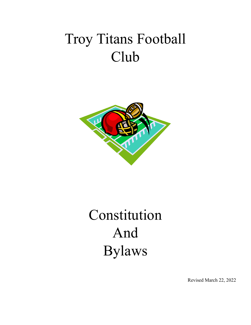# Troy Titans Football Club



# Constitution And Bylaws

Revised March 22, 2022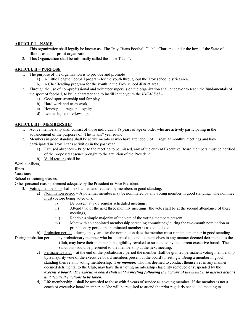# **ARTICLE I – NAME**

- 1. This organization shall legally be known as "The Troy Titans Football Club". Chartered under the laws of the State of Illinois as a non-profit organization.
- 2. This Organization shall be informally called the "The Titans".

#### **ARTICLE II – PURPOSE**

- 1. The purpose of the organization is to provide and promote
	- a) A Little League Football program for the youth throughout the Troy school district area.
		- b) A Cheerleading program for the youth in the Troy school district area.
- 2. Through the use of non-professional and volunteer supervision the organization shall endeavor to teach the fundamentals of the sport of football, to build character and to instill in the youth the *IDEALS* of –
	- a) Good sportsmanship and fair play,
	- b) Hard work and team work,
	- c) Honesty, courage and loyalty,
	- d) Leadership and fellowship.

#### **ARTICLE III – MEMBERSHIP**

- 1. Active membership shall consist of those individuals 18 years of age or older who are actively participating in the advancement of the purposes of "The Titans" year round.
- 2. Members in good standing shall be active members who have attended 8 of 11 regular monthly meetings and have participated in Troy Titans activities in the past year.
	- a) Excused absences Prior to the meeting to be missed, any of the current Executive Board members must be notified of the proposed absence brought to the attention of the President.
	- b) Valid reasons shall be –

Work conflicts

Illness, Vacations,

School or training classes,

Other personal reasons deemed adequate by the President or Vice President.

- 3. Voting membership shall be obtained and retained by members in good standing.
	- a) Nomination period A potential member may be nominated by any voting member in good standing. The nominee must (before being voted on):
		- i) Be present at 8-11 regular scheduled meetings.
		- ii) Attend two of the next three monthly meetings (the vote shall be at the second attendance of these meetings,
		- iii) Receive a simple majority of the vote of the voting members present,
		- iv) Meet with an appointed membership screening committee *if* during the two-month nomination or probationary period the nominated member is asked to do so.

b) Probation period – during the year after the nomination date the member must remain a member in good standing.

- During probation period, any probationary member who has deemed to conduct themselves in any manner deemed detrimental to the Club, may have their membership eligibility revoked or suspended by the current executive board. The sanctions would be presented to the membership at the next meeting.
	- c) Permanent status at the end of the probationary period the member shall be granted permanent voting membership by a majority vote of the executive board members present at the board's meetings. Being a member in good standing then retains voting membership. *Any member,* who has deemed to conduct themselves in any manner deemed detrimental to the Club, may have their voting membership eligibility removed or suspended by the executive board. The executive board shall hold a meeting following the actions of the member to discuss actions *and decide the actions to be taken*.
	- d) Life membership shall be awarded to those with 5 years of service as a voting member. If the member is not a coach or executive board member, he/she will be required to attend the prior regularly scheduled meeting to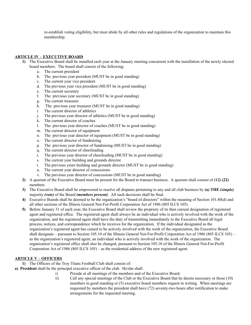re-establish voting eligibility, but must abide by all other rules and regulations of the organization to maintain this membership.

#### **ARTICLE IV – EXECUTIVE BOARD**

- **1)** The Executive Board shall be installed each year at the January meeting concurrent with the installation of the newly elected board members. The board shall consist of the following:
	- a. The current president
	- b. The previous year president (MUST be in good standing)
	- c. The current year vice president
	- d. The previous year vice president (MUST be in good standing)
	- e. The current secretary
	- f. The previous year secretary (MUST be in good standing)
	- g. The current treasurer
	- h. The previous year treasurer (MUST be in good standing)
	- i. The current director of athletics
	- j. The previous year director of athletics (MUST be in good standing)
	- k. The current director of coaches
	- l. The previous year director of coaches (MUST be in good standing)
	- m. The current director of equipment
	- n. The previous year director of equipment (MUST be in good standing)
	- o. The current director of fundraising
	- p. The previous year director of fundraising (MUST be in good standing)
	- q. The current director of cheerleading
	- r. The previous year director of cheerleading (MUST be in good standing)
	- s. The current year building and grounds director
	- t. The previous years building and grounds director (MUST be in good standing)
	- u. The current year director of concessions
	- v. The previous year director of concessions (MUST be in good standing)
	- **2)** A quorum of the Executive Board must be present for the Board to transact business. A quorum shall consist of *(12)* **(22)** members.
	- **3)** The Executive Board shall be empowered to resolve all disputes pertaining to any and all club business by *(a)* **THE** *(simple)* majority *(vote)* of the Board *(members present)*. All such decisions shall be final.
	- **4)** Executive Boards shall be deemed to be the organization's "board of directors" within the meaning of Section 101.80(d) and all other sections of the Illinois General Not-For-Profit Corporation Act of 1986 (805 ILCS 105).
	- **5)** Before January 31 of each year, the Executive Board shall review the propriety of its then current designation of registered agent and registered office. The registered agent shall always be an individual who is actively involved with the work of the organization, and the registered agent shall have the duty of transmitting immediately to the Executive Board all legal process, notices, and correspondence which he receives for the organization. If the individual designated as the organization's registered agent has ceased to be actively involved with the work of the organization, the Executive Board shall designate – pursuant to Section 105.10 of the Illinois General Not-For-Profit Corporation Act of 1986 (805 ILCS 105) – as the organization's registered agent, an individual who is actively involved with the work of the organization. The organization's registered office shall also be changed, pursuant to Section 105.10 of the Illinois General Not-For-Profit Corporation Act of 1986 (805 ILCS 105) – as the residential address of the new registered agent.

#### **ARTICLE V – OFFICERS**

- **1)** The Officers of the Troy Titans Football Club shall consist of:
- **a) President** shall be the principal executive officer of the club. He/she shall:
	- i) Preside at all meetings of the members and of the Executive Board.
	- ii) Call any special meetings of the Club or the Executive Board that he deems necessary or those (10) members in good standing or (5) executive board members request in writing. When meetings are requested by members the president shall have (72) seventy-two hours after notification to make arrangements for the requested meeting.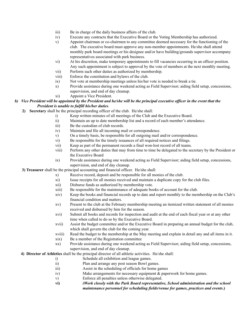- iii) Be in charge of the daily business affairs of the club.
- iv) Execute any contracts that the Executive Board or the Voting Membership has authorized.
- v) Appoint chairman or co-chairmen to any committee deemed necessary for the functioning of the club. The executive board must approve any non-member appointments. He/she shall attend monthly park board meetings or his designee and/or have building/grounds supervisor accompany representatives associated with park business.
- vi) At his discretion, make temporary appointments to fill vacancies occurring in an officer position. Any such appointment is subject to approval by the vote of members at the next monthly meeting.
- vii) Perform such other duties as authorized by membership.
- viii) Enforce the constitution and bylaws of the club.
- ix) Not vote at membership meetings unless his/her vote is needed to break a tie.
- x) Provide assistance during one weekend acting as Field Supervisor; aiding field setup, concessions, supervision, and end of day cleanup.
- xi) Appoint a Vice President.

#### b) Vice President will be appointed by the President and he/she will be the principal executive officer in the event that the *President is unable to fulfill his/her duties*.

- **2) Secretary** shall be the principal recording officer of the club. He/she shall:
	- i) Keep written minutes of all meetings of the Club and the Executive Board.
	- ii) Maintain an up to date membership list and a record of each member's attendance.
	- iii) Be the custodian of club records.
	- iv) Maintain and file all incoming mail or correspondence.
	- v) On a timely basis, be responsible for all outgoing mail and/or correspondence.
	- vi) Be responsible for the timely issuances of all required notices and filings.
	- vii) Keep as part of the permanent records a final won-lost record of all teams.
	- viii) Perform any other duties that may from time to time be delegated to the secretary by the President or the Executive Board
	- ix) Provide assistance during one weekend acting as Field Supervisor; aiding field setup, concessions, supervision, and end of day cleanup.
- **3) Treasurer** shall be the principal accounting and financial officer. He/she shall:
	- x) Receive record, deposit and be responsible for all monies of the club.
	- xi) Issue receipts for all monies received and maintain a duplicate copy for the club files.
	- xii) Disburse funds as authorized by membership vote.
	- xiii) Be responsible for the maintenance of adequate books of account for the club.
	- xiv) Keep the books and financial records up to date and report monthly to the membership on the Club's financial condition and matters.
	- xv) Present to the club at the February membership meeting an itemized written statement of all monies received and disbursed by him for the season.
	- xvi) Submit all books and records for inspection and audit at the end of each fiscal year or at any other time when called to do so by the Executive Board.
	- xvii) Assist the budget committee and/or the Executive Board in preparing an annual budget for the club, which shall govern the club for the coming year.
	- xviii) Read the budget to the membership at the May meeting and explain in detail any and all items in it.
	- xix) Be a member of the Registration committee
	- xx) Provide assistance during one weekend acting as Field Supervisor; aiding field setup, concessions, supervision, and end of day cleanup.
- **4) Director of Athletics** shall be the principal director of all athletic activities. He/she shall:
	- i) Schedule all exhibition and league games.
	- ii) Plan and arrange any post season Bowl games.
	- iii) Assist in the scheduling of officials for home games
	- iv) Make arrangements for necessary equipment & paperwork for home games.
	- v) Enforce all penalties unless otherwise delegated.
	- **vi)** *(Work closely with the Park Board representative, School administration and the school maintenance personnel for scheduling fields/venue for games, practices and events***.)**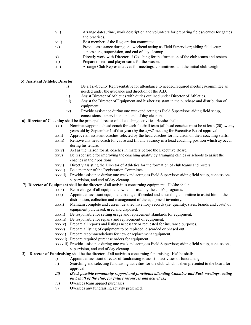- vii) Arrange dates, time, work description and volunteers for preparing fields/venues for games and practices.
- viii) Be a member of the Registration committee
- ix) Provide assistance during one weekend acting as Field Supervisor; aiding field setup,
- concessions, supervision, and end of day cleanup.
- x) Directly work with Director of Coaching for the formation of the club teams and rosters.
- xi) Prepare rosters and player cards for the season.
- xii) Arrange Club Representatives for meetings, committees, and the initial club weigh in.

# **5) Assistant Athletic Director**

- i) Be a Tri-County Representative for attendance to needed/required meetings/committee as needed under the guidance and direction of the A.D.
- ii) Assist Director of Athletics with duties outlined under Director of Athletics.
- iii) Assist the Director of Equipment and his/her assistant in the purchase and distribution of equipment.
- iv) Provide assistance during one weekend acting as Field Supervisor; aiding field setup, concessions, supervision, and end of day cleanup.

**6) Director of Coaching** shall be the principal director of all coaching activities. He/she shall:

- xxi) Nominate/appoint a head coach for each football team (all head coaches must be at least (20) twenty years old by September 1 of that year) by the *April* meeting for Executive Board approval.
- xxii) Approve all assistant coaches selected by the head coaches for inclusion on their coaching staffs.
- xxiii) Remove any head coach for cause and fill any vacancy in a head coaching position which ay occur during his tenure.
- xxiv) Act as the liaison for all coaches in matters before the Executive Board
- xxv) Be responsible for improving the coaching quality by arranging clinics or schools to assist the coaches in their positions.
- xxvi) Directly assisting the Director of Athletics for the formation of club teams and rosters.
- xxvii) Be a member of the Registration Committee.
- xxviii) Provide assistance during one weekend acting as Field Supervisor; aiding field setup, concessions, supervision, and end of day cleanup.
- **7) Director of Equipment** shall be the director of all activities concerning equipment. He/she shall:
	- xxix) Be in charge of all equipment owned or used by the club's programs.
	- xxx) Appoint an assistant equipment manager if needed and a standing committee to assist him in the distribution, collection and management of the equipment inventory.
	- xxxi) Maintain complete and current detailed inventory records (i.e. quantity, sizes, brands and costs) of equipment purchased, used and disposed.
	- xxxii) Be responsible for setting usage and replacement standards for equipment.
	- xxxiii) Be responsible for repairs and replacement of equipment.
	- xxxiv) Prepare all reports and listings necessary or requested for insurance purposes.
	- xxxv) Prepare a listing of equipment to be replaced, discarded or phased out.
	- xxxvi) Prepare recommendations for new or replacement equipment.
	- xxxvii) Prepare required purchase orders for equipment.
	- xxxviii) Provide assistance during one weekend acting as Field Supervisor; aiding field setup, concessions, supervision, and end of day cleanup.
- **3) Director of Fundraising** shall be the director of all activities concerning fundraising. He/she shall:
	- i) Appoint an assistant director of fundraising to assist in activities of fundraising.
	- ii) Searching and selecting fundraising activities for the club which is then presented to the board for approval.
	- *iii) (Seek possible community support and functions; attending Chamber and Park meetings, acting on behalf of the club, for future resources and activities.)*
	- iv) Oversees team apparel purchases.
	- v) Oversees any fundraising activity presented.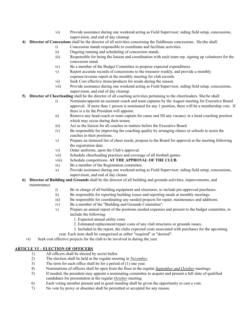- vi) Provide assistance during one weekend acting as Field Supervisor; aiding field setup, concessions, supervision, and end of day cleanup.
- **4) Director of Concessions** shall be the director of all activities concerning the fieldhouse concessions. He/she shall:
	- i) Concession stands responsible to coordinate and facilitate activities.
	- ii) Ongoing running and scheduling of concession stands.
	- iii) Responsible for being the liaison and coordination with each team rep. signing up volunteers for the concession stand.
	- iv) Be a member of the Budget Committee to propose expected expenditures.
	- v) Report accurate records of concessions to the treasurer weekly, and provide a monthly expense/revenue report at the monthly meeting for club records.
	- vi) Seek Cost effective items/products for resale during the season.
	- vii) Provide assistance during one weekend acting as Field Supervisor; aiding field setup, concessions, supervision, and end of day cleanup.
- **5) Director of Cheerleading** shall be the director of all coaching activities pertaining to the cheerleaders. She/he shall:
	- i) Nominate/appoint an assistant coach and team captains by the August meeting for Executive Board approval. If more than 1 person is nominated for any 1 position, there will be a membership vote. If there is a tie the President will appoint.
	- ii) Remove any head coach or team captain for cause and fill any vacancy in a head coaching position which may occur during their tenure.
	- iii) Act as the liaison for all coaches in matters before the Executive Board.
	- iv) Be responsible for improving the coaching quality by arranging clinics or schools to assist the coaches in their positions.
	- v) Prepare an itemized list of cheer needs, propose to the Board for approval at the meeting following the registration date.
	- vi) Order uniforms, upon the Club's approval.
	- vii) Schedule cheerleading practices and coverage of all football games.
	- viii) Schedule competitions. **AT THE APPROVAL OF THE CLUB**.
	- ix) Be a member of the Registration committee.
	- x) Provide assistance during one weekend acting as Field Supervisor; aiding field setup, concessions, supervision, and end of day cleanu
- **6) Director of Building and Grounds** shall be the director of all building and grounds activities, improvements, and maintenance.
	- i) Be in charge of all building equipment and structures, to include pre-approved purchases.
	- ii) Be responsible for reporting building issues and reporting needs at monthly meetings.
	- iii) Be responsible for coordinating any needed projects for repair, maintenance and additions.
	- iv) Be a member of the "Building and Grounds Committee".
	- v) Prepare an annual report of the positions needed expenses and present to the budget committee, to include the following:
		- 1. Expected annual utility costs
		- 2. Estimated replacement/repair costs of any club structures or grounds issues.
		- 3. Included in the report, the clubs expected costs associated with purchases for the upcoming
	- year. Each item shall be categorized as either "required" or "desired".
	- vi) Seek cost effective projects for the club to be involved in during the year.

#### **ARTICLE VI – ELECTION OF OFFICERS**

- 1) All officers shall be elected by secret ballot.
- 2) The election shall be held at the regular meeting in *November.*
- 3) The term for each office shall be for a period of (1) one year.
- 4) Nominations of officers shall be open from the floor at the regular *September and October* meetings.
- 5) If needed, the president may appoint a nominating committee to acquire and present a full slate of qualified candidates for presentation at the regular *October* meeting.
- 6) Each voting member present and in good standing shall be given the opportunity to cast a vote.
- 7) No vote by proxy or absentee shall be permitted or accepted for any reason.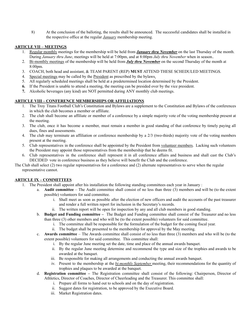8) At the conclusion of the balloting, the results shall be announced. The successful candidates shall be installed in the respective office at the regular *January* membership meeting.

# **ARTICLE VII – MEETINGS**

- 1. Regular monthly meetings for the membership will be held from *January thru November* on the last Thursday of the month. During *January thru June*, meetings will be held at 7:00pm, and at 8:00pm *July thru November* when in season.*.*
- 2. Bi-monthly meetings of the membership will be held from *July thru November* on the second Thursday of the month at 8:00pm.
- 3. COACH, both head and assistant, & TEAM PARENT (REP) **MUST** ATTEND THESE SCHEDULED MEETINGS.
- 4. Special meetings may be called by the President as prescribed by the bylaws.
- 5. All regularly scheduled meetings shall be held at a predetermined location determined by the President.
- **6.** If the President is unable to attend a meeting, the meeting can be presided over by the vice president.
- **7.** Alcoholic beverages (any kind) are NOT permitted during ANY monthly club meetings.

# **ARTICLE VIII – CONFERENCE MEMBERSHIPS OR AFFILIATIONS**

- 1. The Troy Titans Football Club's Constitution and Bylaws are a supplement to the Constitution and Bylaws of the conferences in which the club becomes a member or affiliate.
- 2. The club shall become an affiliate or member of a conference by a simple majority vote of the voting membership present at the meeting.
- 3. The club, once it has become a member, must remain a member in good standing of that conference by timely paying all dues, fines and assessments.
- 4. The club may terminate an affiliation or conference membership by a 2/3 (two-thirds) majority vote of the voting members present at the meeting.
- 5. Club representatives in the conference shall be appointed by the President from volunteer members. Lacking such volunteers the President may appoint those representatives from the membership that he deems fit.
- 6. Club representatives in the conference shall represent it in all conference affairs and business and shall cast the Club's DECIDED vote in conference business as they believe will benefit the Club and the conference.
- The Club shall select (2) two regular representatives for a conference and (2) alternate representatives to serve when the regular representative cannot.

#### **ARTICLE IX – COMMITTEES**

- 1. The President shall appoint after his installation the following standing committees each year in January :
	- a. **Audit committee** The Audit committee shall consist of no less than three (3) members and will be (to the extent possible) volunteers for said committee.
		- i. Shall meet as soon as possible after the election of new officers and audit the accounts of the past treasurer and render a full written report for inclusion in the Secretary's records.
		- ii. The written report will be open for inspection by any and all club members in good standing.
	- b. **Budget and Funding committee –** The Budget and Funding committee shall consist of the Treasurer and no less than three (3) other members and who will be (to the extent possible) volunteers for said committee.
		- i. The committee shall be responsible for the formulation of the budget for the coming fiscal year.
		- ii. The budget shall be presented to the membership for approval by the May meeting.
	- c. **Awards committee** The Awards committee shall consist of no less than three (3) members and who will be (to the extent possible) volunteers for said committee. This committee shall:
		- i. By the regular June meeting set the date, time and place of the annual awards banquet.
		- ii. By the regular June meeting determine and recommend the type and size of the trophies and awards to be awarded at the banquet.
		- iii. Be responsible for making all arrangements and conducting the annual awards banquet.
		- iv. Present to the membership at the *bi-monthly September* meeting, their recommendations for the quantity of trophies and plaques to be awarded at the banquet.
	- d. **Registration committee –** The Registration committee shall consist of the following: Chairperson, Director of Athletics, Director of Coaches, Director of Cheerleading and the Treasurer. This committee shall:
		- i. Prepare all forms to hand out to schools and on the day of registration.
		- ii. Suggest dates for registration, to be approved by the Executive Board.
		- iii. Market Registration dates.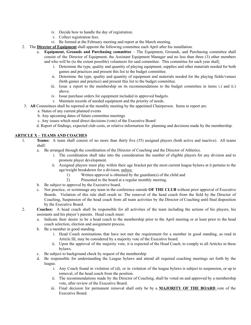- iv. Decide how to handle the day of registration.
- v. Collect registration fees.
- vi. Be formed at the February meeting and report at the March meeting.
- 2. The **Director of Equipment** shall appoint the following committee each April after his installation.
	- a. **Equipment, Grounds and Purchasing committee** The Equipment, Grounds, and Purchasing committee shall consist of the Director of Equipment, the Assistant Equipment Manager and no less than three (3) other members and who will be (to the extent possible) volunteers for said committee. This committee for each year shall:
		- i. Determine the type, quality and quantity of playing equipment, supplies and other materials needed for both games and practices and present this list to the budget committee.
		- ii. Determine the type, quality and quantity of equipment and materials needed for the playing fields/venues (both games and practice) and present this list to the budget committee.
		- iii. Issue a report to the membership on its recommendations to the budget committee in items i.) and ii.) above.
		- iv. Issue purchase orders for equipment included in approved budgets.
		- v. Maintain records of needed equipment and the priority of needs.
- 3. **All** Committees shall be reported at the monthly meeting by the appointed Chairperson. Items to report are:
	- a. Status of any current planned events
	- b. Any upcoming dates of future committee meetings
	- c. Any issues which need direct decisions (vote) of the Executive Board
	- d. Report of findings, expected club costs, or relative information for planning and decisions made by the membership.

#### **ARTICLE X – TEAMS AND COACHES**

- 1. **Teams:** A team shall consist of no more than thirty five (35) assigned players (both active and inactive). All teams shall:
	- a. Be arranged through the coordination of the Director of Coaching and the Director of Athletics.
		- i. The coordination shall take into the consideration the number of eligible players for any division and to promote player development.
		- ii. Assigned players must play within their age bracket per the most current league bylaws at it pertains to the age/weight breakdown for a division, unless:
			- 1) Written approval is obtained by the guardian(s) of the child and
			- 2) Presented to the board at a regular monthly meeting.
	- b. Be subject to approval by the Executive board.
	- c. Not practice, or scrimmage any team in the conference outside **OF THE CLUB** without prior approval of Executive Boards. Violation of this rule shall result in: The removal of the head coach from the field by the Director of Coaching, Suspension of the head coach from all team activities by the Director of Coaching until final disposition by the Executive Board.
- 2. **Coaches:** A head coach shall be responsible for all activities of the team including the actions of his players, his assistants and his player's parents. Head coach must:
	- a. Indicate their desire to be a head coach to the membership prior to the April meeting or at least prior to the head coach selection, election and assignment process.
	- b. Be a member in good standing.
		- i. Head Coach nominations that have not met the requirement for a member in good standing, as read in Article III, may be considered by a majority vote of the Executive board.
		- ii. Upon the approval of the majority vote, it is expected of the Head Coach, to comply to all Articles in these bylaws.
	- c. Be subject to background check by request of the membership
	- d. Be responsible for understanding the League bylaws and attend all required coaching meetings set forth by the league.
		- i. Any Coach found in violation of (d), or in violation of the league bylaws is subject to suspension, or up to removal, of the head coach from the position.
		- ii. The recommendations made by the Director of Coaching, shall be voted on and approved by a membership vote, after review of the Executive Board.
		- iii. Final decision for permanent removal shall only be by a **MAJORITY OF THE BOARD** vote of the Executive Board.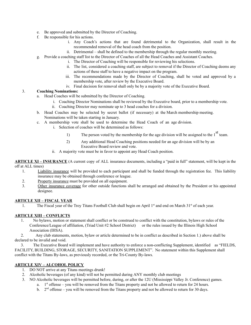- e. Be approved and submitted by the Director of Coaching.
- f. Be responsible for his actions.
	- i. Any Coach's actions that are found detrimental to the Organization, shall result in the recommended removal of the head coach from the position.
	- ii. Detrimental shall be defined to the membership through the regular monthly meeting.
- g. Provide a coaching staff list to the Director of Coaches of all the Head Coaches and Assistant Coaches.
	- i. The Director of Coaching will be responsible for reviewing his selections.
	- ii. The list, considered a coaching staff, are subject to removal if the Director of Coaching deems any actions of these staff to have a negative impact on the program.
	- iii. The recommendations made by the Director of Coaching, shall be voted and approved by a membership vote, after review by the Executive Board.
	- iv. Final decision for removal shall only be by a majority vote of the Executive Board.

#### 3. **Coaching Nominations:**

- a. Head Coaches will be submitted by the Director of Coaching.
	- i. Coaching Director Nominations shall be reviewed by the Executive board, prior to a membership vote.
	- ii. Coaching Director may nominate up to 3 head coaches for a division.
- b. Head Coaches may be selected by secret ballot (if necessary) at the March membership meeting. Nominations will be taken starting in January.
- c. A membership vote shall be used to determine the Head Coach of an age division.
	- i. Selection of coaches will be determined as follows:
		- 1) The person voted by the membership for the age division will be assigned to the  $1<sup>st</sup>$  team.
		- 2) Any additional Head Coaching positions needed for an age division will be by an Executive Board review and vote.
	- ii. A majority vote must be in favor to appoint any Head Coach position.

**ARTICLE XI – INSURANCE** (A current copy of ALL insurance documents, including a "paid in full" statement, will be kept in the off at ALL times)

- 1. Liability insurance will be provided to each participant and shall be funded through the registration fee. This liability insurance may be obtained through conference or league.
- 2. Property insurance must be provided on all equipment.
- 3. Other insurance coverage for other outside functions shall be arranged and obtained by the President or his appointed designee.

#### **ARTICLE XII – FISCAL YEAR**

1. The Fiscal year of the Troy Titans Football Club shall begin on April 1<sup>st</sup> and end on March 31<sup>st</sup> of each year.

#### **ARTICLE XIII – CONFLICTS**

1. No bylaws, motion or statement shall conflict or be construed to conflict with the constitution, bylaws or rules of the Conference/League of affiliation, (Triad Unit #2 School District) or the rules issued by the Illinois High School Association (IHSA).

2. Any club statements, motion, bylaw or article determined to be in conflict as described in Section 1.) above shall be declared to be invalid and void.

3. The Executive Board will implement and have authority to enforce a non-conflicting Supplement, identified as "FIELDS, FACILITY, BUILDING, STORAGE, SECURITY, SANITATION SUPPLEMENT". No statement within this Supplement shall conflict with the Titans By-laws, as previously recorded, or the Tri-County By-laws.

#### **ARTICLE XIV – ALCOHOL POLICY**

- 1. DO NOT arrive at any Titans meetings drunk!
- 2. Alcoholic beverages (of any kind) will not be permitted during ANY monthly club meetings
- 3. NO Alcoholic beverages will be permitted before, during, or after the 12U (Mississippi Valley Jr. Conference) games.
	- a.  $1<sup>st</sup>$  offense you will be removed from the Titans property and not be allowed to return for 24 hours.
	- b.  $2<sup>nd</sup>$  offense you will be removed from the Titans property and not be allowed to return for 30 days.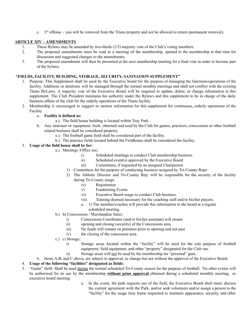c.  $3<sup>rd</sup>$  offense – you will be removed from the Titans property and not be allowed to return (permanent removal).

# **ARTICLE XIV – AMENDMENTS**

- 1. These Bylaws may be amended by two-thirds (2/3) majority vote of the Club's voting members.
- 2. The proposed amendments must be read at a meeting of the membership, opened to the membership at that time for discussion and suggested changes to the amendments.
- 3. The proposed amendment will then be presented at the next membership meeting for a final vote in order to become part of the bylaws.

# **"FIELDS, FACILITY, BUILDING, STORAGE, SECURITY, SANITATION SUPPLEMENT"**

- 1. Purpose: This Supplement shall be used by the Executive board for the purpose of managing the functions/operations of the facility. Additions or deletions will be managed through the normal monthly meetings and shall not conflict with the existing Titans ByLaws. A majority vote of the Executive Board will be required to update, delete, or change information in this supplement. The Club President maintains his authority under the Bylaws and this supplement to be in charge of the daily business affairs of the club for the orderly operations of the Titans facility.
- 2. Membership is encouraged to suggest or motion information for this supplement for continuous, orderly operations of the Facility.

# a. **Facility is defined as:**

- a.) The field house building is located within Troy Park.
- b. Any structure or equipment, built, obtained and used by the Club for games, practices, concessions or other football related business shall be considered property.
	- a.) The football game field shall be considered part of the facility.
	- b.) The practice fields located behind the Fieldhouse shall be considered the facility.

# 3. **Usage of the field house shall be for:**

- a.) Meetings /Office use;
	- i) Scheduled meetings to conduct Club membership business.
	- ii) Scheduled event(s) approved by the Executive Board
	- iii) Committees, if requested by an assigned Chairperson
	- 1) Committees for the purpose of conducting business assigned by Tri-County Reps.
	- 2) The Athletic Director and Tri-County Rep. will be responsible for the security of the facility during Tri-County usage.
		- iv) Registration
		- v) Fundraising Events
		- vi) Executive Board usage to conduct Club business.
		- vii) Training deemed necessary for the coaching staff and/or his/her players.
		- a. 1) The member/coaches will provide this information to the board at a regular scheduled meeting.
- b.) b) Concessions / Merchandise Sales;
	- i) Concessions Coordinator (and/or his/her assistant) will ensure
	- ii) opening and closing (security) of the Concessions area.
	- iii) No funds will remain on premises prior to opening and not past
	- iv) the closing of the concession area.
- c.) c) Storage;
	- i) Storage areas located within the "facility" will be used for the sole purpose of football equipment, field equipment, and other "property" designated for the Club use.
	- ii) Storage areas will not be used by the membership for "personal" gain,
- b. Items A,B, and C above, are subject to approval, or change but not without the approval of the Executive Board.

# 4. **Usage of the following "facilities" designated as fields:**

- 5. "Game" field- Shall be used during the normal scheduled Tri-County season for the purpose of football. No other events will be authorized for its use by the membership **without prior approval** obtained during a scheduled monthly meeting, or executive board meeting.
	- a. In the event, the park requests use of the field, the Executive Board shall meet, discuss the current agreement with the Park, and/or seek volunteers and/or assign a person to the "facility" for the usage time frame requested to maintain appearance, security, and other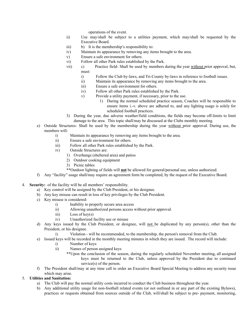operations of the event.

- ii) Use may/shall be subject to a utilities payment, which may/shall be requested by the Executive Board.
- iii) b) It is the membership's responsibility to:
- iv) Maintain its appearance by removing any items brought to the area.
- v) Ensure a safe environment for others.
- vi) Follow all other Park rules established by the Park.
- vii) c) Practice field- Shall be used by members during the year without prior approval, but, must:
	- i) Follow the Club by-laws, and Tri-County by-laws in reference to football issues.
	- ii) Maintain its appearance by removing any items brought to the area.
		- iii) Ensure a safe environment for others.
		- iv) Follow all other Park rules established by the Park.
		- v) Provide a utility payment, if necessary, prior to the use.
			- 1) During the normal scheduled practice season, Coaches will be responsible to ensure items i.-v. above are adhered to, and any lighting usage is solely for scheduled football practices.
- 3) During the year, due adverse weather/field conditions, the fields may become off-limits to limit damage to the area. This topic shall/may be discussed at the Clubs monthly meeting.
- e) Outside Structures- Shall be used by the membership during the year without prior approval. During use, the members will:
	- i) Maintain its appearance by removing any items brought to the area.
	- ii) Ensure a safe environment for others.
	- iii) Follow all other Park rules established by the Park.
	- iv) Outside Structures are:
		- 1) Overhangs (sheltered area) and patios
		- 2) Outdoor cooking equipment
		- 3) Picnic tables
		- \*\*Outdoor lighting of fields will **not** be allowed for general/personal use, unless authorized.
- f) Any "facility" usage shall/may require an agreement form be completed, by the request of the Executive Board.
- 4. **Security:** of the facility will be all members' responsibility.
	- a) Key control will be assigned by the Club President, or his designee.
	- b) Any key misuse can result in loss of key privileges by the Club President.
	- c) Key misuse is considered:
		- i) Inability to properly secure area access
		- ii) Allowing unauthorized persons access without prior approval.
		- iii) Loss of key(s)
		- iv) Unauthorized facility use or misuse
	- d) Any keys issued by the Club President, or designee, will not be duplicated by any person(s), other than the President, or his designee.
		- i) Violation will be recommended, to the membership, the person's removal from the Club.
	- e) Issued keys will be recorded in the monthly meeting minutes in which they are issued. The record will include:
		- i) Number of keys
		- ii) Names of person assigned keys
			- \*\*Upon the conclusion of the season, during the regularly scheduled November meeting, all assigned keys must be returned to the Club, unless approved by the President due to continued service(s) of the person.
	- f) The President shall/may at any time call to order an Executive Board Special Meeting to address any security issue which may arise.

# 5. **Utilities and Sanitation:**

- a) The Club will pay the normal utility costs incurred to conduct the Club business throughout the year.
- b) Any additional utility usage for non-football related events (or not outlined in or any part of the existing Bylaws), practices or requests obtained from sources outside of the Club, will/shall be subject to pre- payment, monitoring,